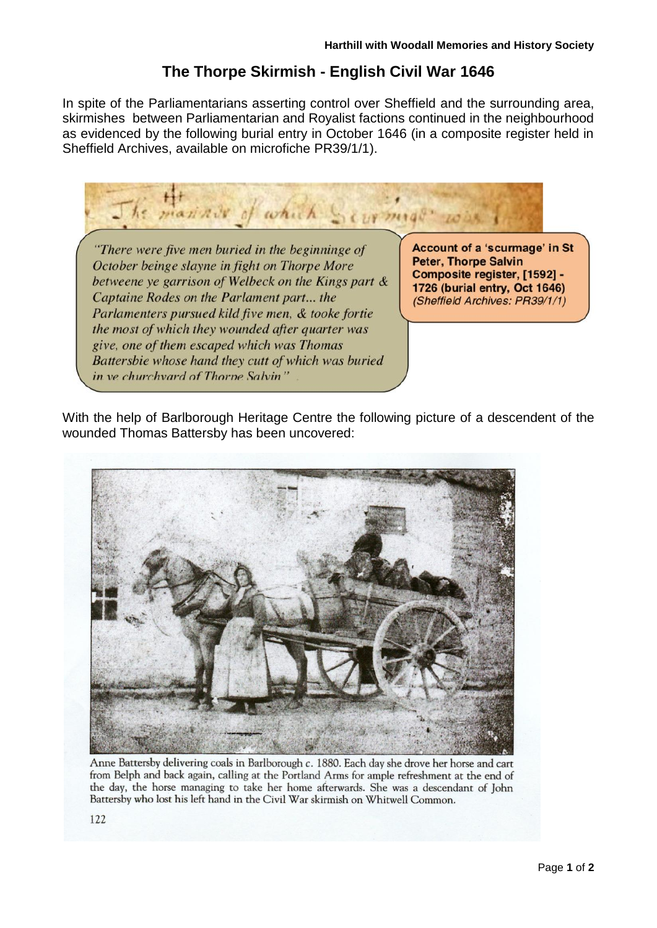## **The Thorpe Skirmish - English Civil War 1646**

In spite of the Parliamentarians asserting control over Sheffield and the surrounding area, skirmishes between Parliamentarian and Royalist factions continued in the neighbourhood as evidenced by the following burial entry in October 1646 (in a composite register held in Sheffield Archives, available on microfiche PR39/1/1).



With the help of Barlborough Heritage Centre the following picture of a descendent of the wounded Thomas Battersby has been uncovered:



Anne Battersby delivering coals in Barlborough c. 1880. Each day she drove her horse and cart from Belph and back again, calling at the Portland Arms for ample refreshment at the end of the day, the horse managing to take her home afterwards. She was a descendant of John Battersby who lost his left hand in the Civil War skirmish on Whitwell Common.